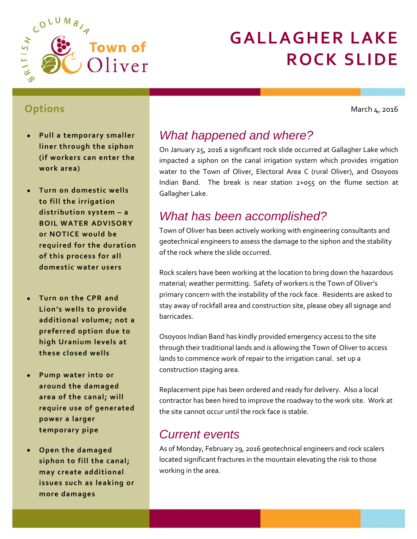

# **GALLAGHER LAKE ROCK SLIDE**

**Options**

March 4, 2016

- **Pull a temporary smaller liner through the siphon (if workers can enter the work area)**
- **Turn on domestic wells to fill the irrigation distribution system – a BOIL WATER ADVISORY or NOTICE would be required for the duration of this process for all domestic water users**
- **Turn on the CPR and Lion's wells to provide additional volume; not a preferred option due to high Uranium levels at these closed wells**
- **Pump water into or around the damaged area of the canal; will require use of generated power a larger temporary pipe**
- **Open the damaged siphon to fill the canal; may create additional issues such as leaking or more damages**

# *What happened and where?*

On January 25, 2016 a significant rock slide occurred at Gallagher Lake which impacted a siphon on the canal irrigation system which provides irrigation water to the Town of Oliver, Electoral Area C (rural Oliver), and Osoyoos Indian Band. The break is near station 2+055 on the flume section at Gallagher Lake.

## *What has been accomplished?*

Town of Oliver has been actively working with engineering consultants and geotechnical engineers to assess the damage to the siphon and the stability of the rock where the slide occurred.

Rock scalers have been working at the location to bring down the hazardous material; weather permitting. Safety of workers is the Town of Oliver's primary concern with the instability of the rock face. Residents are asked to stay away of rockfall area and construction site, please obey all signage and barricades.

Osoyoos Indian Band has kindly provided emergency access to the site through their traditional lands and is allowing the Town of Oliver to access lands to commence work of repair to the irrigation canal. set up a construction staging area.

Replacement pipe has been ordered and ready for delivery. Also a local contractor has been hired to improve the roadway to the work site. Work at the site cannot occur until the rock face is stable.

### *Current events*

As of Monday, February 29, 2016 geotechnical engineers and rock scalers located significant fractures in the mountain elevating the risk to those working in the area.